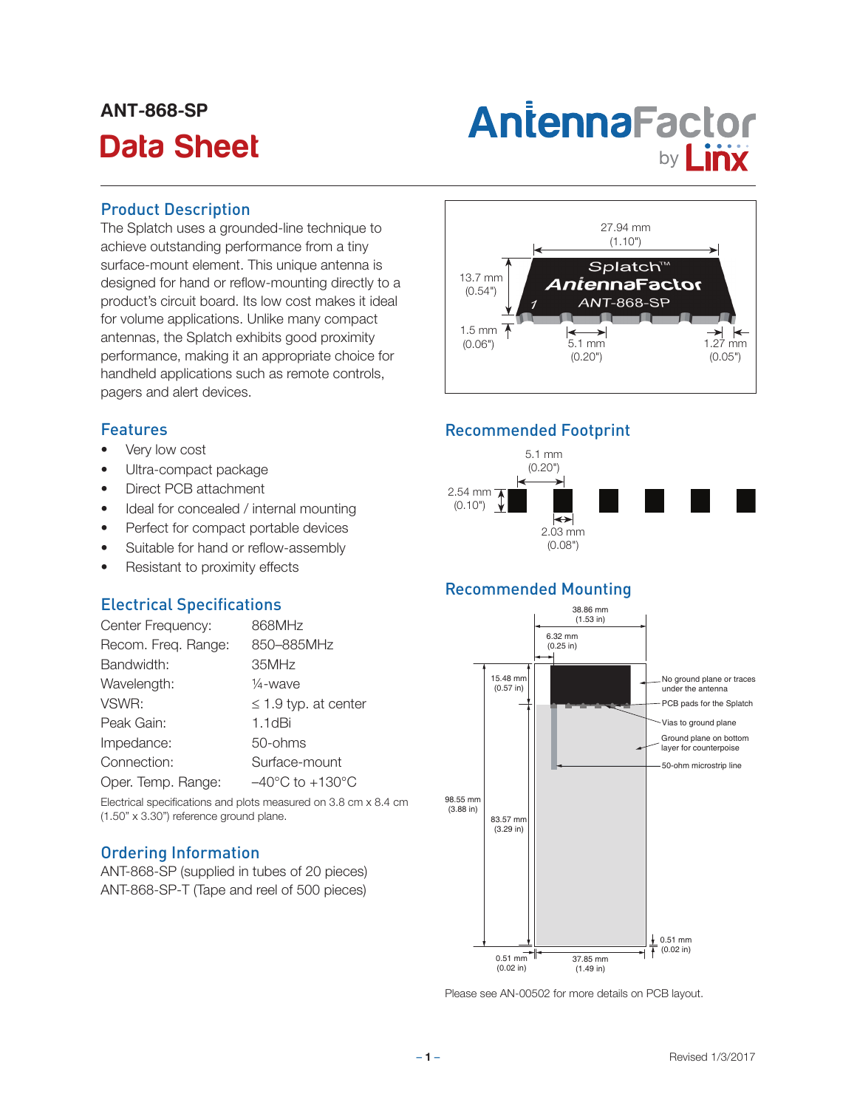# ANT-868-SP

# Antenna Factor<br>Data Sheet **by Linx**

## Product Description

The Splatch uses a grounded-line technique to achieve outstanding performance from a tiny surface-mount element. This unique antenna is designed for hand or reflow-mounting directly to a product's circuit board. Its low cost makes it ideal for volume applications. Unlike many compact antennas, the Splatch exhibits good proximity performance, making it an appropriate choice for handheld applications such as remote controls, pagers and alert devices.

# Features

- Very low cost
- Ultra-compact package
- Direct PCB attachment
- Ideal for concealed / internal mounting
- Perfect for compact portable devices
- Suitable for hand or reflow-assembly
- Resistant to proximity effects

# Electrical Specifications

| Center Frequency:   | 868MHz                              |
|---------------------|-------------------------------------|
| Recom. Freq. Range: | 850-885MHz                          |
| Bandwidth:          | 35MHz                               |
| Wavelength:         | 1/ <sub>4</sub> -wave               |
| VSWR:               | $\leq$ 1.9 typ. at center           |
| Peak Gain:          | $1.1$ d $Bi$                        |
| Impedance:          | 50-ohms                             |
| Connection:         | Surface-mount                       |
| Oper. Temp. Range:  | $-40^{\circ}$ C to $+130^{\circ}$ C |

Electrical specifications and plots measured on 3.8 cm x 8.4 cm (1.50" x 3.30") reference ground plane.

# Ordering Information

ANT-868-SP (supplied in tubes of 20 pieces) ANT-868-SP-T (Tape and reel of 500 pieces)



# Recommended Footprint



# Recommended Mounting



Please see AN-00502 for more details on PCB layout.